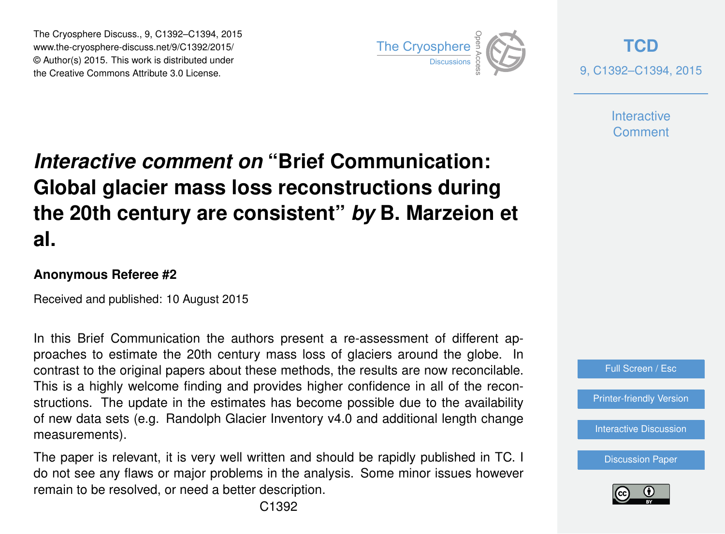The Cryosphere Discuss., 9, C1392–C1394, 2015 www.the-cryosphere-discuss.net/9/C1392/2015/ © Author(s) 2015. This work is distributed under The Cryosphere Discuss., 9, C1392–C1394, 2015<br>
www.the-cryosphere-discuss.net/9/C1392/2015/<br>
© Author(s) 2015. This work is distributed under<br>
the Creative Commons Attribute 3.0 License.



**[TCD](http://www.the-cryosphere-discuss.net)** 9, C1392–C1394, 2015

> **Interactive** Comment

## *Interactive comment on* **"Brief Communication: Global glacier mass loss reconstructions during the 20th century are consistent"** *by* **B. Marzeion et al.**

## **Anonymous Referee #2**

Received and published: 10 August 2015

In this Brief Communication the authors present a re-assessment of different approaches to estimate the 20th century mass loss of glaciers around the globe. In contrast to the original papers about these methods, the results are now reconcilable. This is a highly welcome finding and provides higher confidence in all of the reconstructions. The update in the estimates has become possible due to the availability of new data sets (e.g. Randolph Glacier Inventory v4.0 and additional length change measurements).

The paper is relevant, it is very well written and should be rapidly published in TC. I do not see any flaws or major problems in the analysis. Some minor issues however remain to be resolved, or need a better description.



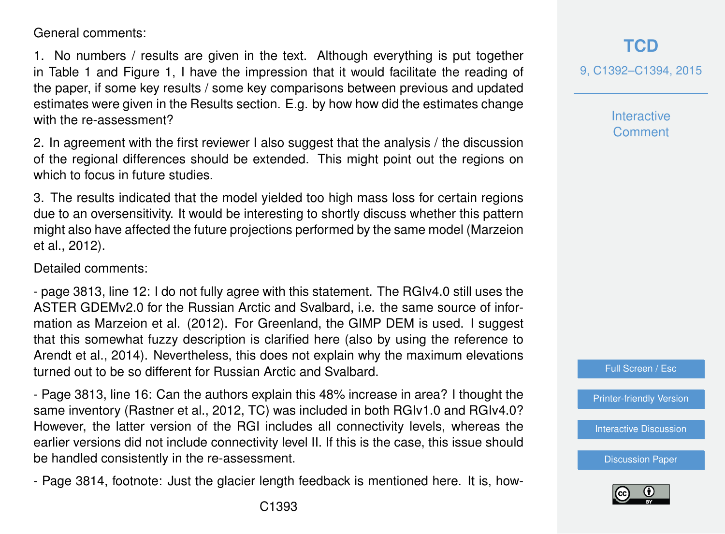General comments:

1. No numbers / results are given in the text. Although everything is put together in Table 1 and Figure 1, I have the impression that it would facilitate the reading of the paper, if some key results / some key comparisons between previous and updated estimates were given in the Results section. E.g. by how how did the estimates change with the re-assessment?

2. In agreement with the first reviewer I also suggest that the analysis / the discussion of the regional differences should be extended. This might point out the regions on which to focus in future studies.

3. The results indicated that the model yielded too high mass loss for certain regions due to an oversensitivity. It would be interesting to shortly discuss whether this pattern might also have affected the future projections performed by the same model (Marzeion et al., 2012).

Detailed comments:

- page 3813, line 12: I do not fully agree with this statement. The RGIv4.0 still uses the ASTER GDEMv2.0 for the Russian Arctic and Svalbard, i.e. the same source of information as Marzeion et al. (2012). For Greenland, the GIMP DEM is used. I suggest that this somewhat fuzzy description is clarified here (also by using the reference to Arendt et al., 2014). Nevertheless, this does not explain why the maximum elevations turned out to be so different for Russian Arctic and Svalbard.

- Page 3813, line 16: Can the authors explain this 48% increase in area? I thought the same inventory (Rastner et al., 2012, TC) was included in both RGIv1.0 and RGIv4.0? However, the latter version of the RGI includes all connectivity levels, whereas the earlier versions did not include connectivity level II. If this is the case, this issue should be handled consistently in the re-assessment.

- Page 3814, footnote: Just the glacier length feedback is mentioned here. It is, how-

9, C1392–C1394, 2015

**Interactive** Comment

Full Screen / Esc

[Printer-friendly Version](http://www.the-cryosphere-discuss.net/9/C1392/2015/tcd-9-C1392-2015-print.pdf)

[Interactive Discussion](http://www.the-cryosphere-discuss.net/9/3807/2015/tcd-9-3807-2015-discussion.html)

[Discussion Paper](http://www.the-cryosphere-discuss.net/9/3807/2015/tcd-9-3807-2015.pdf)